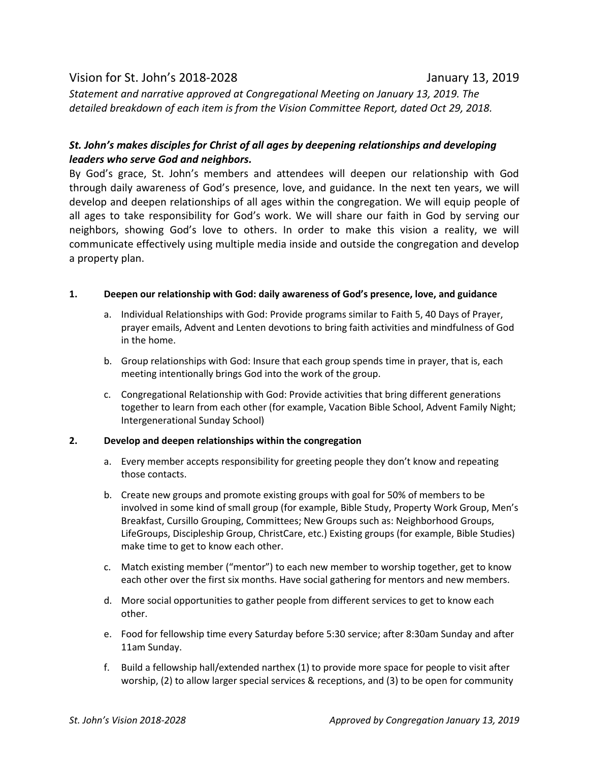# Vision for St. John's 2018-2028 January 13, 2019

*Statement and narrative approved at Congregational Meeting on January 13, 2019. The detailed breakdown of each item is from the Vision Committee Report, dated Oct 29, 2018.*

## *St. John's makes disciples for Christ of all ages by deepening relationships and developing leaders who serve God and neighbors.*

By God's grace, St. John's members and attendees will deepen our relationship with God through daily awareness of God's presence, love, and guidance. In the next ten years, we will develop and deepen relationships of all ages within the congregation. We will equip people of all ages to take responsibility for God's work. We will share our faith in God by serving our neighbors, showing God's love to others. In order to make this vision a reality, we will communicate effectively using multiple media inside and outside the congregation and develop a property plan.

### **1. Deepen our relationship with God: daily awareness of God's presence, love, and guidance**

- a. Individual Relationships with God: Provide programs similar to Faith 5, 40 Days of Prayer, prayer emails, Advent and Lenten devotions to bring faith activities and mindfulness of God in the home.
- b. Group relationships with God: Insure that each group spends time in prayer, that is, each meeting intentionally brings God into the work of the group.
- c. Congregational Relationship with God: Provide activities that bring different generations together to learn from each other (for example, Vacation Bible School, Advent Family Night; Intergenerational Sunday School)

#### **2. Develop and deepen relationships within the congregation**

- a. Every member accepts responsibility for greeting people they don't know and repeating those contacts.
- b. Create new groups and promote existing groups with goal for 50% of members to be involved in some kind of small group (for example, Bible Study, Property Work Group, Men's Breakfast, Cursillo Grouping, Committees; New Groups such as: Neighborhood Groups, LifeGroups, Discipleship Group, ChristCare, etc.) Existing groups (for example, Bible Studies) make time to get to know each other.
- c. Match existing member ("mentor") to each new member to worship together, get to know each other over the first six months. Have social gathering for mentors and new members.
- d. More social opportunities to gather people from different services to get to know each other.
- e. Food for fellowship time every Saturday before 5:30 service; after 8:30am Sunday and after 11am Sunday.
- f. Build a fellowship hall/extended narthex (1) to provide more space for people to visit after worship, (2) to allow larger special services & receptions, and (3) to be open for community